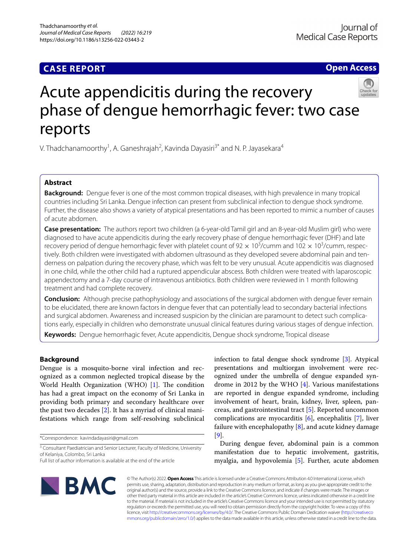## **CASE REPORT**

**Open Access**

# Acute appendicitis during the recovery phase of dengue hemorrhagic fever: two case reports

V. Thadchanamoorthy<sup>1</sup>, A. Ganeshrajah<sup>2</sup>, Kavinda Dayasiri<sup>3\*</sup> and N. P. Jayasekara<sup>4</sup>

## **Abstract**

**Background:** Dengue fever is one of the most common tropical diseases, with high prevalence in many tropical countries including Sri Lanka. Dengue infection can present from subclinical infection to dengue shock syndrome. Further, the disease also shows a variety of atypical presentations and has been reported to mimic a number of causes of acute abdomen.

**Case presentation:** The authors report two children (a 6-year-old Tamil girl and an 8-year-old Muslim girl) who were diagnosed to have acute appendicitis during the early recovery phase of dengue hemorrhagic fever (DHF) and late recovery period of dengue hemorrhagic fever with platelet count of 92  $\times$  10<sup>3</sup>/cumm and 102  $\times$  10<sup>3</sup>/cumm, respectively. Both children were investigated with abdomen ultrasound as they developed severe abdominal pain and tenderness on palpation during the recovery phase, which was felt to be very unusual. Acute appendicitis was diagnosed in one child, while the other child had a ruptured appendicular abscess. Both children were treated with laparoscopic appendectomy and a 7-day course of intravenous antibiotics. Both children were reviewed in 1 month following treatment and had complete recovery.

**Conclusion:** Although precise pathophysiology and associations of the surgical abdomen with dengue fever remain to be elucidated, there are known factors in dengue fever that can potentially lead to secondary bacterial infections and surgical abdomen. Awareness and increased suspicion by the clinician are paramount to detect such complications early, especially in children who demonstrate unusual clinical features during various stages of dengue infection.

**Keywords:** Dengue hemorrhagic fever, Acute appendicitis, Dengue shock syndrome, Tropical disease

## **Background**

Dengue is a mosquito-borne viral infection and recognized as a common neglected tropical disease by the World Health Organization (WHO)  $[1]$  $[1]$ . The condition has had a great impact on the economy of Sri Lanka in providing both primary and secondary healthcare over the past two decades [[2\]](#page-3-1). It has a myriad of clinical manifestations which range from self-resolving subclinical

\*Correspondence: kavindadayasiri@gmail.com

<sup>3</sup> Consultant Paediatrician and Senior Lecturer, Faculty of Medicine, University of Kelaniya, Colombo, Sri Lanka

infection to fatal dengue shock syndrome [[3\]](#page-3-2). Atypical presentations and multiorgan involvement were recognized under the umbrella of dengue expanded syndrome in 2012 by the WHO [\[4](#page-3-3)]. Various manifestations are reported in dengue expanded syndrome, including involvement of heart, brain, kidney, liver, spleen, pancreas, and gastrointestinal tract [\[5](#page-3-4)]. Reported uncommon complications are myocarditis [[6\]](#page-3-5), encephalitis [[7\]](#page-3-6), liver failure with encephalopathy [\[8](#page-3-7)], and acute kidney damage [[9\]](#page-3-8).

During dengue fever, abdominal pain is a common manifestation due to hepatic involvement, gastritis, myalgia, and hypovolemia [[5\]](#page-3-4). Further, acute abdomen



© The Author(s) 2022. **Open Access** This article is licensed under a Creative Commons Attribution 4.0 International License, which permits use, sharing, adaptation, distribution and reproduction in any medium or format, as long as you give appropriate credit to the original author(s) and the source, provide a link to the Creative Commons licence, and indicate if changes were made. The images or other third party material in this article are included in the article's Creative Commons licence, unless indicated otherwise in a credit line to the material. If material is not included in the article's Creative Commons licence and your intended use is not permitted by statutory regulation or exceeds the permitted use, you will need to obtain permission directly from the copyright holder. To view a copy of this licence, visit [http://creativecommons.org/licenses/by/4.0/.](http://creativecommons.org/licenses/by/4.0/) The Creative Commons Public Domain Dedication waiver ([http://creativeco](http://creativecommons.org/publicdomain/zero/1.0/) [mmons.org/publicdomain/zero/1.0/](http://creativecommons.org/publicdomain/zero/1.0/)) applies to the data made available in this article, unless otherwise stated in a credit line to the data.

Full list of author information is available at the end of the article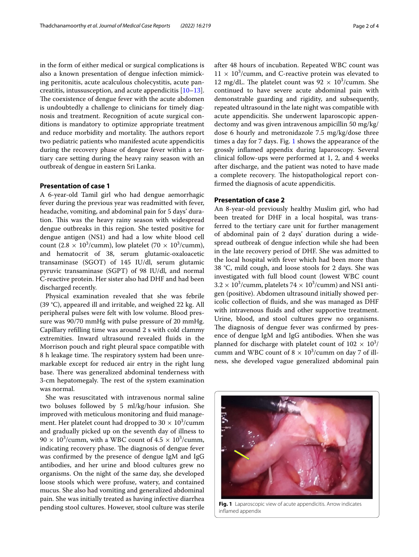in the form of either medical or surgical complications is also a known presentation of dengue infection mimicking peritonitis, acute acalculous cholecystitis, acute pancreatitis, intussusception, and acute appendicitis [[10](#page-3-9)[–13](#page-3-10)]. The coexistence of dengue fever with the acute abdomen is undoubtedly a challenge to clinicians for timely diagnosis and treatment. Recognition of acute surgical conditions is mandatory to optimize appropriate treatment and reduce morbidity and mortality. The authors report two pediatric patients who manifested acute appendicitis during the recovery phase of dengue fever within a tertiary care setting during the heavy rainy season with an outbreak of dengue in eastern Sri Lanka.

## **Presentation of case 1**

A 6-year-old Tamil girl who had dengue aemorrhagic fever during the previous year was readmitted with fever, headache, vomiting, and abdominal pain for 5 days' duration. This was the heavy rainy season with widespread dengue outbreaks in this region. She tested positive for dengue antigen (NS1) and had a low white blood cell count (2.8  $\times$  10<sup>3</sup>/cumm), low platelet (70  $\times$  10<sup>3</sup>/cumm), and hematocrit of 38, serum glutamic-oxaloacetic transaminase (SGOT) of 145 IU/dl, serum glutamic pyruvic transaminase (SGPT) of 98 IU/dl, and normal C-reactive protein. Her sister also had DHF and had been discharged recently.

Physical examination revealed that she was febrile (39 °C), appeared ill and irritable, and weighed 22 kg. All peripheral pulses were felt with low volume. Blood pressure was 90/70 mmHg with pulse pressure of 20 mmHg. Capillary reflling time was around 2 s with cold clammy extremities. Inward ultrasound revealed fuids in the Morrison pouch and right pleural space compatible with 8 h leakage time. The respiratory system had been unremarkable except for reduced air entry in the right lung base. There was generalized abdominal tenderness with 3-cm hepatomegaly. The rest of the system examination was normal.

She was resuscitated with intravenous normal saline two boluses followed by 5 ml/kg/hour infusion. She improved with meticulous monitoring and fuid management. Her platelet count had dropped to  $30 \times 10^3$ /cumm and gradually picked up on the seventh day of illness to  $90 \times 10^3$ /cumm, with a WBC count of  $4.5 \times 10^3$ /cumm, indicating recovery phase. The diagnosis of dengue fever was confrmed by the presence of dengue IgM and IgG antibodies, and her urine and blood cultures grew no organisms. On the night of the same day, she developed loose stools which were profuse, watery, and contained mucus. She also had vomiting and generalized abdominal pain. She was initially treated as having infective diarrhea pending stool cultures. However, stool culture was sterile

after 48 hours of incubation. Repeated WBC count was  $11 \times 10^3$ /cumm, and C-reactive protein was elevated to 12 mg/dL. The platelet count was  $92 \times 10^3$ /cumm. She continued to have severe acute abdominal pain with demonstrable guarding and rigidity, and subsequently, repeated ultrasound in the late night was compatible with acute appendicitis. She underwent laparoscopic appendectomy and was given intravenous ampicillin 50 mg/kg/ dose 6 hourly and metronidazole 7.5 mg/kg/dose three times a day for 7 days. Fig. [1](#page-1-0) shows the appearance of the grossly infamed appendix during laparoscopy. Several clinical follow-ups were performed at 1, 2, and 4 weeks after discharge, and the patient was noted to have made a complete recovery. The histopathological report confrmed the diagnosis of acute appendicitis.

## **Presentation of case 2**

An 8-year-old previously healthy Muslim girl, who had been treated for DHF in a local hospital, was transferred to the tertiary care unit for further management of abdominal pain of 2 days' duration during a widespread outbreak of dengue infection while she had been in the late recovery period of DHF. She was admitted to the local hospital with fever which had been more than 38 °C, mild cough, and loose stools for 2 days. She was investigated with full blood count (lowest WBC count  $3.2 \times 10^3$ /cumm, platelets  $74 \times 10^3$ /cumm) and NS1 antigen (positive). Abdomen ultrasound initially showed pericolic collection of fuids, and she was managed as DHF with intravenous fuids and other supportive treatment. Urine, blood, and stool cultures grew no organisms. The diagnosis of dengue fever was confirmed by presence of dengue IgM and IgG antibodies. When she was planned for discharge with platelet count of  $102 \times 10^3/$ cumm and WBC count of  $8 \times 10^3$ /cumm on day 7 of illness, she developed vague generalized abdominal pain

<span id="page-1-0"></span>

**Fig. 1** Laparoscopic view of acute appendicitis. Arrow indicates infamed appendix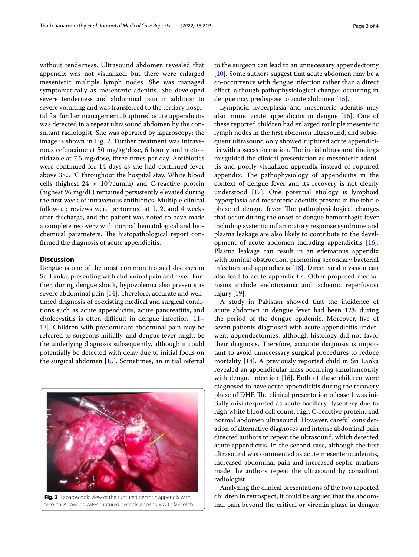without tenderness. Ultrasound abdomen revealed that appendix was not visualized, but there were enlarged mesenteric multiple lymph nodes. She was managed symptomatically as mesenteric adenitis. She developed severe tenderness and abdominal pain in addition to severe vomiting and was transferred to the tertiary hospital for further management. Ruptured acute appendicitis was detected in a repeat ultrasound abdomen by the consultant radiologist. She was operated by laparoscopy; the image is shown in Fig. [2](#page-2-0). Further treatment was intravenous cefotaxime at 50 mg/kg/dose, 6 hourly and metronidazole at 7.5 mg/dose, three times per day. Antibiotics were continued for 14 days as she had continued fever above 38.5 °C throughout the hospital stay. White blood cells (highest  $24 \times 10^3$ /cumm) and C-reactive protein (highest 96 mg/dL) remained persistently elevated during the frst week of intravenous antibiotics. Multiple clinical follow-up reviews were performed at 1, 2, and 4 weeks after discharge, and the patient was noted to have made a complete recovery with normal hematological and biochemical parameters. The histopathological report confrmed the diagnosis of acute appendicitis.

## **Discussion**

Dengue is one of the most common tropical diseases in Sri Lanka, presenting with abdominal pain and fever. Further, during dengue shock, hypovolemia also presents as severe abdominal pain  $[14]$ . Therefore, accurate and welltimed diagnosis of coexisting medical and surgical conditions such as acute appendicitis, acute pancreatitis, and cholecystitis is often difficult in dengue infection  $[11-$ [13\]](#page-3-10). Children with predominant abdominal pain may be referred to surgeons initially, and dengue fever might be the underlying diagnosis subsequently, although it could potentially be detected with delay due to initial focus on the surgical abdomen [[15\]](#page-3-13). Sometimes, an initial referral



<span id="page-2-0"></span>fecolith. Arrow indicates ruptured necrotic appendix with faecolith

to the surgeon can lead to an unnecessary appendectomy [[10\]](#page-3-9). Some authors suggest that acute abdomen may be a co-occurrence with dengue infection rather than a direct efect, although pathophysiological changes occurring in dengue may predispose to acute abdomen [\[15](#page-3-13)].

Lymphoid hyperplasia and mesenteric adenitis may also mimic acute appendicitis in dengue [\[16\]](#page-3-14). One of these reported children had enlarged multiple mesenteric lymph nodes in the frst abdomen ultrasound, and subsequent ultrasound only showed ruptured acute appendicitis with abscess formation. The initial ultrasound findings misguided the clinical presentation as mesenteric adenitis and poorly visualized appendix instead of ruptured appendix. The pathophysiology of appendicitis in the context of dengue fever and its recovery is not clearly understood [\[17\]](#page-3-15). One potential etiology is lymphoid hyperplasia and mesenteric adenitis present in the febrile phase of dengue fever. The pathophysiological changes that occur during the onset of dengue hemorrhagic fever including systemic infammatory response syndrome and plasma leakage are also likely to contribute to the development of acute abdomen including appendicitis [\[16](#page-3-14)]. Plasma leakage can result in an edematous appendix with luminal obstruction, promoting secondary bacterial infection and appendicitis [[18](#page-3-16)]. Direct viral invasion can also lead to acute appendicitis. Other proposed mechanisms include endotoxemia and ischemic reperfusion injury [[19](#page-3-17)].

A study in Pakistan showed that the incidence of acute abdomen in dengue fever had been 12% during the period of the dengue epidemic. Moreover, fve of seven patients diagnosed with acute appendicitis underwent appendectomies, although histology did not favor their diagnosis. Therefore, accurate diagnosis is important to avoid unnecessary surgical procedures to reduce mortality [\[18](#page-3-16)]. A previously reported child in Sri Lanka revealed an appendicular mass occurring simultaneously with dengue infection [\[16\]](#page-3-14). Both of these children were diagnosed to have acute appendicitis during the recovery phase of DHF. The clinical presentation of case 1 was initially misinterpreted as acute bacillary dysentery due to high white blood cell count, high C-reactive protein, and normal abdomen ultrasound. However, careful consideration of alternative diagnoses and intense abdominal pain directed authors to repeat the ultrasound, which detected acute appendicitis. In the second case, although the frst ultrasound was commented as acute mesenteric adenitis, increased abdominal pain and increased septic markers made the authors repeat the ultrasound by consultant radiologist.

Analyzing the clinical presentations of the two reported children in retrospect, it could be argued that the abdominal pain beyond the critical or viremia phase in dengue